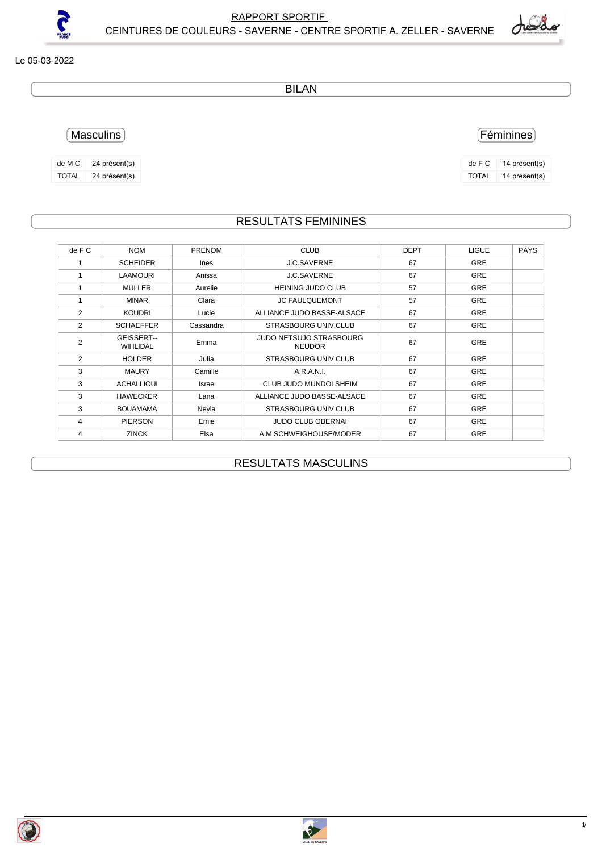RAPPORT SPORTIF<br>S-SAVERNE - CENTRE SPORTIE A ZELLED SAVEDNE CEINTURES DE COULEURS - SAVERNE - CENTRE SPORTIF A. ZELLER - SAVERNE

## Le 05-03-2022

?

BILAN

Masculins

| de M C       | 24 présent(s) |
|--------------|---------------|
| <b>TOTAL</b> | 24 présent(s) |

## RESULTATS FEMININES

| de F C         | <b>NOM</b>                    | <b>PRENOM</b> | <b>CLUB</b>                                     | <b>DEPT</b> | <b>LIGUE</b> | <b>PAYS</b> |
|----------------|-------------------------------|---------------|-------------------------------------------------|-------------|--------------|-------------|
|                | <b>SCHEIDER</b>               | <b>Ines</b>   | J.C.SAVERNE                                     | 67          | <b>GRE</b>   |             |
| 1              | <b>LAAMOURI</b>               | Anissa        | J.C.SAVERNE                                     | 67          | <b>GRE</b>   |             |
| 1              | <b>MULLER</b>                 | Aurelie       | <b>HEINING JUDO CLUB</b>                        | 57          | <b>GRE</b>   |             |
| 1              | <b>MINAR</b>                  | Clara         | <b>JC FAULQUEMONT</b>                           | 57          | <b>GRE</b>   |             |
| 2              | <b>KOUDRI</b>                 | Lucie         | ALLIANCE JUDO BASSE-ALSACE                      | 67          | <b>GRE</b>   |             |
| 2              | <b>SCHAEFFER</b>              | Cassandra     | <b>STRASBOURG UNIV.CLUB</b>                     | 67          | <b>GRE</b>   |             |
| $\overline{2}$ | GEISSERT--<br><b>WIHLIDAL</b> | Emma          | <b>JUDO NETSUJO STRASBOURG</b><br><b>NEUDOR</b> | 67          | <b>GRE</b>   |             |
| 2              | <b>HOLDER</b>                 | Julia         | <b>STRASBOURG UNIV.CLUB</b>                     | 67          | <b>GRE</b>   |             |
| 3              | <b>MAURY</b>                  | Camille       | A.R.A.N.I.                                      | 67          | <b>GRE</b>   |             |
| 3              | <b>ACHALLIOUI</b>             | Israe         | CLUB JUDO MUNDOLSHEIM                           | 67          | <b>GRE</b>   |             |
| 3              | <b>HAWECKER</b>               | Lana          | ALLIANCE JUDO BASSE-ALSACE                      | 67          | <b>GRE</b>   |             |
| 3              | <b>BOUAMAMA</b>               | Neyla         | <b>STRASBOURG UNIV.CLUB</b>                     | 67          | <b>GRE</b>   |             |
| 4              | <b>PIERSON</b>                | Emie          | <b>JUDO CLUB OBERNAI</b>                        | 67          | <b>GRE</b>   |             |
| 4              | <b>ZINCK</b>                  | Elsa          | A.M SCHWEIGHOUSE/MODER                          | 67          | <b>GRE</b>   |             |

## RESULTATS MASCULINS





 $1/2$ 

## Féminines

| $de$ F C     | 14 présent(s) |
|--------------|---------------|
| <b>TOTAL</b> | 14 présent(s) |